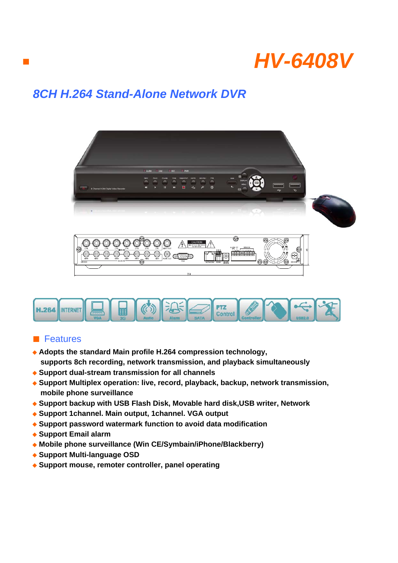

## *8CH H.264 Stand-Alone Network DVR*





## ■ Features

■

- ◆ **Adopts the standard Main profile H.264 compression technology, supports 8ch recording, network transmission, and playback simultaneously**
- ◆ **Support dual-stream transmission for all channels**
- ◆ **Support Multiplex operation: live, record, playback, backup, network transmission, mobile phone surveillance**
- ◆ **Support backup with USB Flash Disk, Movable hard disk,USB writer, Network**
- ◆ **Support 1channel. Main output, 1channel. VGA output**
- ◆ Support password watermark function to avoid data modification
- ◆ **Support Email alarm**
- ◆ Mobile phone surveillance (Win CE/Symbain/iPhone/Blackberry)
- ◆ **Support Multi-language OSD**
- ◆ **Support mouse, remoter controller, panel operating**